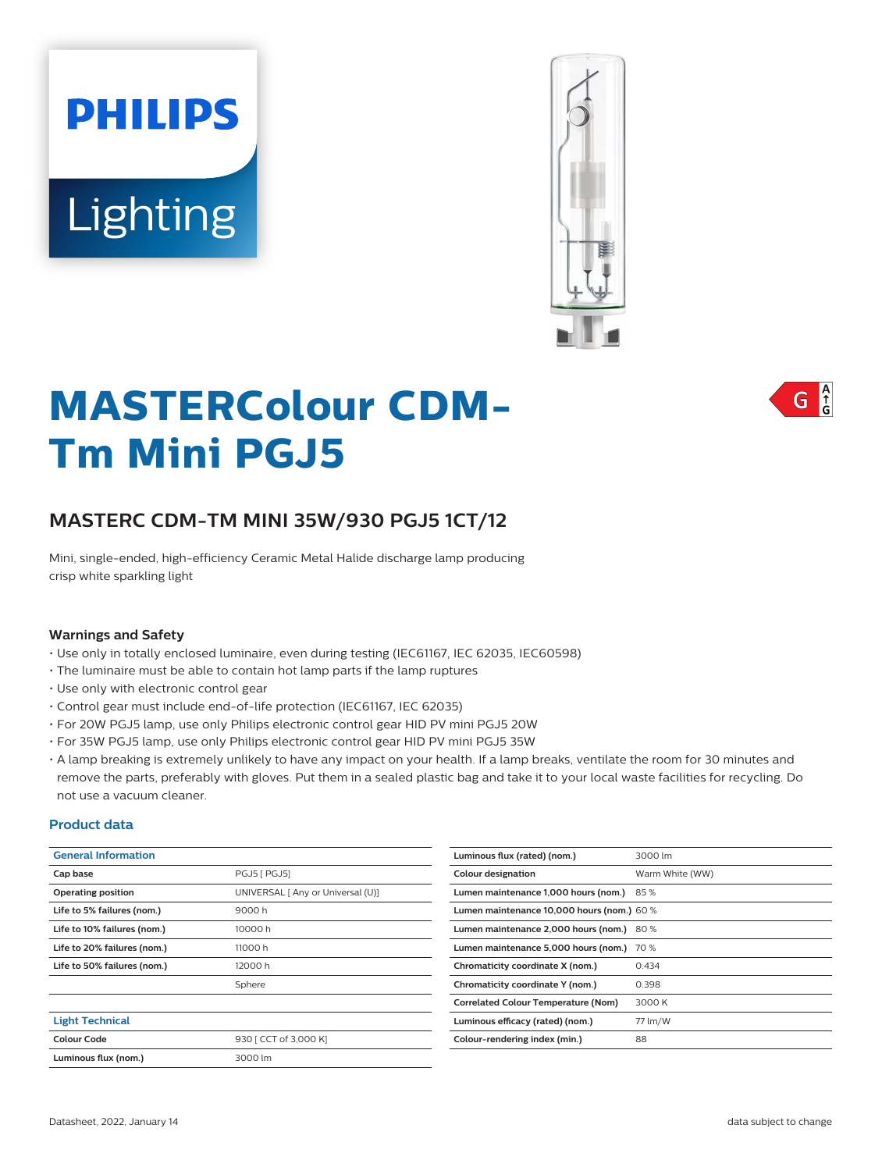# **PHILIPS** Lighting



# **MASTERColour CDM-Tm Mini PGJ5**

# **MASTERC CDM-TM MINI 35W/930 PGJ5 1CT/12**

Mini, single-ended, high-efficiency Ceramic Metal Halide discharge lamp producing crisp white sparkling light

### **Warnings and Safety**

- Use only in totally enclosed luminaire, even during testing (IEC61167, IEC 62035, IEC60598)
- The luminaire must be able to contain hot lamp parts if the lamp ruptures
- Use only with electronic control gear
- Control gear must include end-of-life protection (IEC61167, IEC 62035)
- For 20W PGJ5 lamp, use only Philips electronic control gear HID PV mini PGJ5 20W
- For 35W PGJ5 lamp, use only Philips electronic control gear HID PV mini PGJ5 35W
- A lamp breaking is extremely unlikely to have any impact on your health. If a lamp breaks, ventilate the room for 30 minutes and remove the parts, preferably with gloves. Put them in a sealed plastic bag and take it to your local waste facilities for recycling. Do not use a vacuum cleaner.

### **Product data**

| <b>General Information</b>  |                                   | Luminous flux (rated) (      |  |
|-----------------------------|-----------------------------------|------------------------------|--|
| Cap base                    | PGJ5 [ PGJ5]                      | <b>Colour designation</b>    |  |
| Operating position          | UNIVERSAL [ Any or Universal (U)] | Lumen maintenance 1,0        |  |
| Life to 5% failures (nom.)  | 9000 h                            | Lumen maintenance 10         |  |
| Life to 10% failures (nom.) | 10000 h                           | Lumen maintenance 2,         |  |
| Life to 20% failures (nom.) | 11000 h                           | Lumen maintenance 5,         |  |
| Life to 50% failures (nom.) | 12000 h                           | Chromaticity coordinat       |  |
|                             | Sphere                            | Chromaticity coordinat       |  |
|                             |                                   | <b>Correlated Colour Tem</b> |  |
| <b>Light Technical</b>      |                                   | Luminous efficacy (rate      |  |
| <b>Colour Code</b>          | 930 [ CCT of 3,000 K]             | Colour-rendering index       |  |
| Luminous flux (nom.)        | 3000 lm                           |                              |  |
|                             |                                   |                              |  |

| Luminous flux (rated) (nom.)               | 3000 lm         |  |  |  |
|--------------------------------------------|-----------------|--|--|--|
| Colour designation                         | Warm White (WW) |  |  |  |
| Lumen maintenance 1,000 hours (nom.)       | 85%             |  |  |  |
| Lumen maintenance 10,000 hours (nom.) 60 % |                 |  |  |  |
| Lumen maintenance 2,000 hours (nom.)       | 80%             |  |  |  |
| Lumen maintenance 5,000 hours (nom.)       | 70 %            |  |  |  |
| Chromaticity coordinate X (nom.)           | 0.434           |  |  |  |
| Chromaticity coordinate Y (nom.)           | 0.398           |  |  |  |
| <b>Correlated Colour Temperature (Nom)</b> | 3000 K          |  |  |  |
| Luminous efficacy (rated) (nom.)           | 77 lm/W         |  |  |  |
| Colour-rendering index (min.)              | 88              |  |  |  |

 $\int_{0}^{A}$ G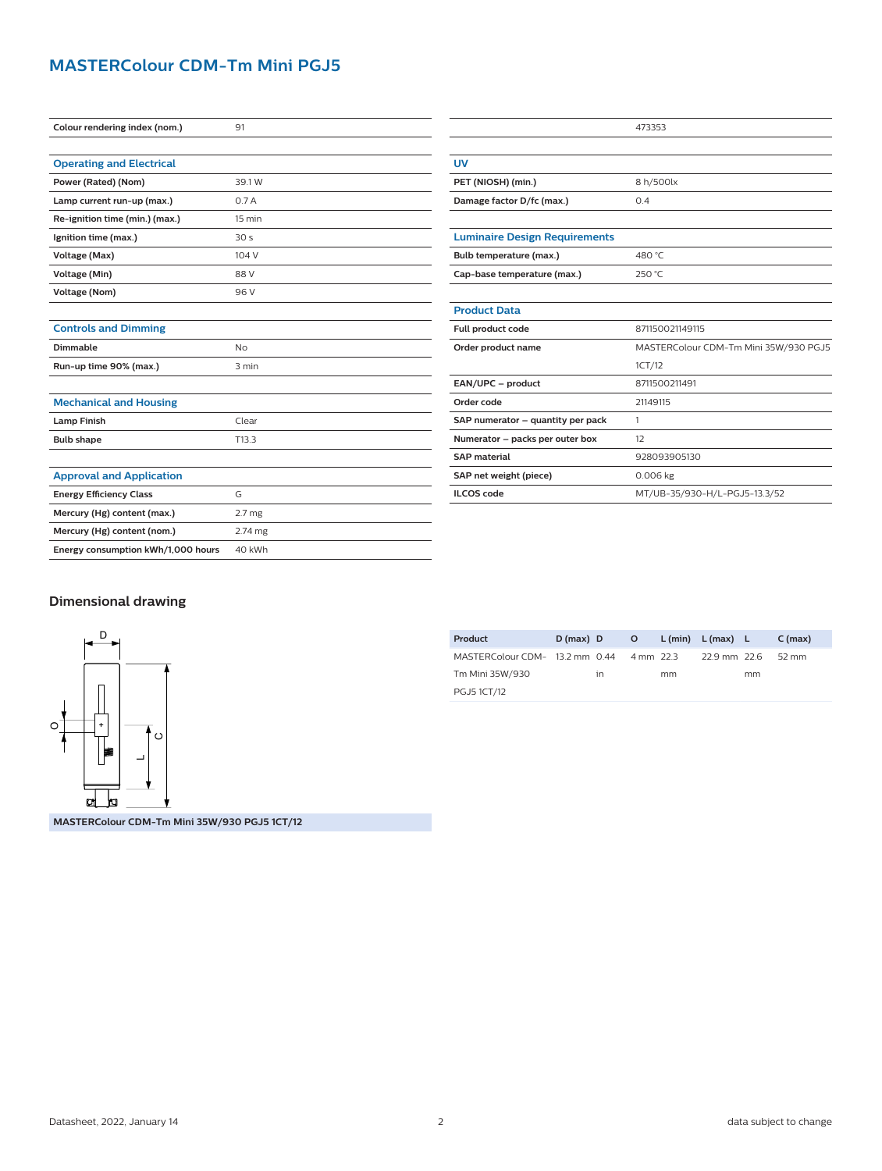# **MASTERColour CDM-Tm Mini PGJ5**

| Colour rendering index (nom.)      | 91                |  |  |  |
|------------------------------------|-------------------|--|--|--|
|                                    |                   |  |  |  |
| <b>Operating and Electrical</b>    |                   |  |  |  |
| Power (Rated) (Nom)                | 39.1W             |  |  |  |
| Lamp current run-up (max.)         | 0.7A              |  |  |  |
| Re-ignition time (min.) (max.)     | 15 min            |  |  |  |
| Ignition time (max.)               | 30 <sub>s</sub>   |  |  |  |
| Voltage (Max)                      | 104 V             |  |  |  |
| Voltage (Min)                      | 88 V              |  |  |  |
| <b>Voltage (Nom)</b>               | 96 V              |  |  |  |
|                                    |                   |  |  |  |
| <b>Controls and Dimming</b>        |                   |  |  |  |
| Dimmable                           | No                |  |  |  |
| Run-up time 90% (max.)             | 3 min             |  |  |  |
|                                    |                   |  |  |  |
| <b>Mechanical and Housing</b>      |                   |  |  |  |
| <b>Lamp Finish</b>                 | Clear             |  |  |  |
| <b>Bulb shape</b>                  | T <sub>13.3</sub> |  |  |  |
|                                    |                   |  |  |  |
| <b>Approval and Application</b>    |                   |  |  |  |
| <b>Energy Efficiency Class</b>     | G                 |  |  |  |
| Mercury (Hg) content (max.)        | 2.7 <sub>mg</sub> |  |  |  |
| Mercury (Hg) content (nom.)        | 2.74 mg           |  |  |  |
| Energy consumption kWh/1,000 hours | 40 kWh            |  |  |  |

|                                      | 473353                                |
|--------------------------------------|---------------------------------------|
|                                      |                                       |
| <b>UV</b>                            |                                       |
| PET (NIOSH) (min.)                   | 8 h/500lx                             |
| Damage factor D/fc (max.)            | 0.4                                   |
|                                      |                                       |
| <b>Luminaire Design Requirements</b> |                                       |
| Bulb temperature (max.)              | 480 °C                                |
| Cap-base temperature (max.)          | 250 °C                                |
|                                      |                                       |
| <b>Product Data</b>                  |                                       |
| Full product code                    | 871150021149115                       |
| Order product name                   | MASTERColour CDM-Tm Mini 35W/930 PGJ5 |
|                                      | 1CT/12                                |
| EAN/UPC - product                    | 8711500211491                         |
| Order code                           | 21149115                              |
| SAP numerator - quantity per pack    | 1                                     |
| Numerator - packs per outer box      | 12                                    |
| <b>SAP</b> material                  | 928093905130                          |
| SAP net weight (piece)               | 0.006 kg                              |
| <b>ILCOS</b> code                    | MT/UB-35/930-H/L-PGJ5-13.3/52         |

## **Dimensional drawing**



**MASTERColour CDM-Tm Mini 35W/930 PGJ5 1CT/12**

| Product                                  | $D(max)$ D |    |    | O L(min) L(max) L |    | C (max)         |
|------------------------------------------|------------|----|----|-------------------|----|-----------------|
| MASTERColour CDM- 13.2 mm 0.44 4 mm 22.3 |            |    |    | 22.9 mm 22.6      |    | $52 \text{ mm}$ |
| Tm Mini 35W/930                          |            | 1n | mm |                   | mm |                 |
| <b>PGJ51CT/12</b>                        |            |    |    |                   |    |                 |